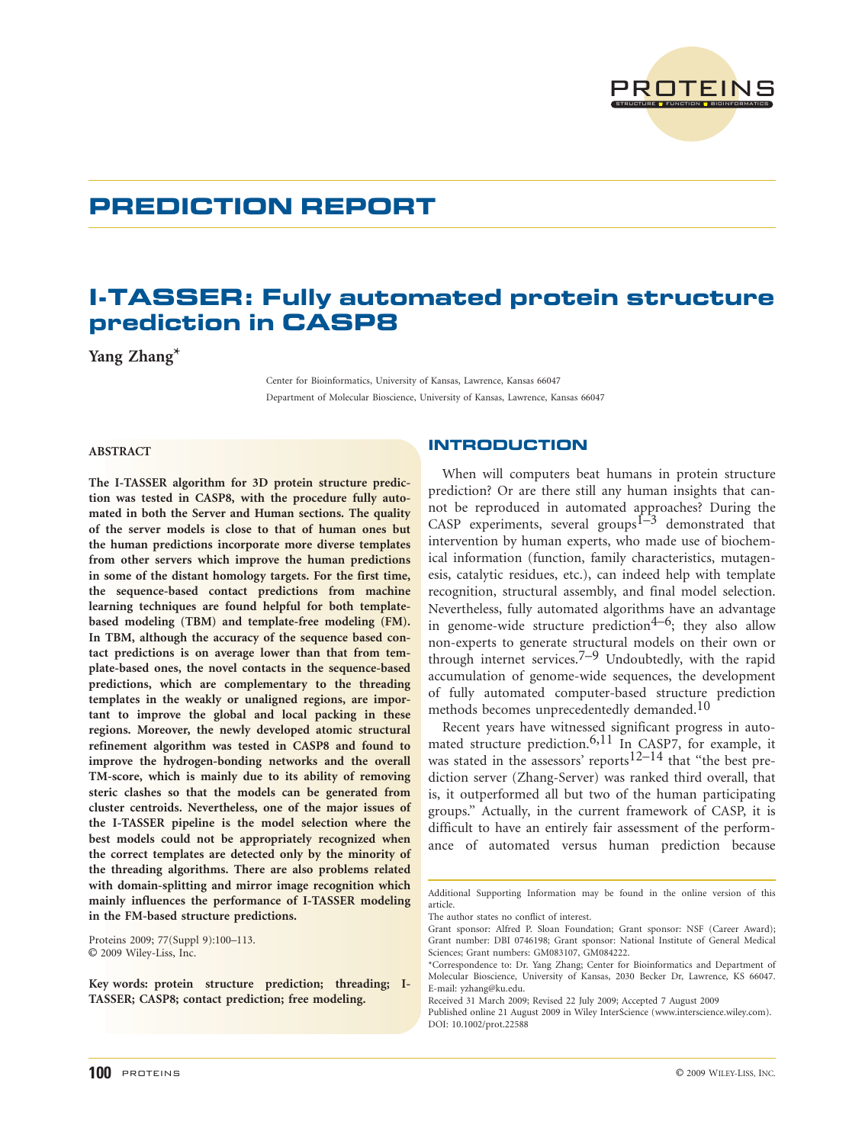

# PREDICTION REPORT

# I-TASSER: Fully automated protein structure prediction in CASP8

Yang Zhang\*

Center for Bioinformatics, University of Kansas, Lawrence, Kansas 66047 Department of Molecular Bioscience, University of Kansas, Lawrence, Kansas 66047

# ABSTRACT

The I-TASSER algorithm for 3D protein structure prediction was tested in CASP8, with the procedure fully automated in both the Server and Human sections. The quality of the server models is close to that of human ones but the human predictions incorporate more diverse templates from other servers which improve the human predictions in some of the distant homology targets. For the first time, the sequence-based contact predictions from machine learning techniques are found helpful for both templatebased modeling (TBM) and template-free modeling (FM). In TBM, although the accuracy of the sequence based contact predictions is on average lower than that from template-based ones, the novel contacts in the sequence-based predictions, which are complementary to the threading templates in the weakly or unaligned regions, are important to improve the global and local packing in these regions. Moreover, the newly developed atomic structural refinement algorithm was tested in CASP8 and found to improve the hydrogen-bonding networks and the overall TM-score, which is mainly due to its ability of removing steric clashes so that the models can be generated from cluster centroids. Nevertheless, one of the major issues of the I-TASSER pipeline is the model selection where the best models could not be appropriately recognized when the correct templates are detected only by the minority of the threading algorithms. There are also problems related with domain-splitting and mirror image recognition which mainly influences the performance of I-TASSER modeling in the FM-based structure predictions.

Proteins 2009; 77(Suppl 9):100–113. © 2009 Wiley-Liss, Inc.

Key words: protein structure prediction; threading; I-TASSER; CASP8; contact prediction; free modeling.

# **INTRODUCTION**

When will computers beat humans in protein structure prediction? Or are there still any human insights that cannot be reproduced in automated approaches? During the CASP experiments, several groups $\overline{1-3}$  demonstrated that intervention by human experts, who made use of biochemical information (function, family characteristics, mutagenesis, catalytic residues, etc.), can indeed help with template recognition, structural assembly, and final model selection. Nevertheless, fully automated algorithms have an advantage in genome-wide structure prediction<sup>4–6</sup>; they also allow non-experts to generate structural models on their own or through internet services.<sup>7–9</sup> Undoubtedly, with the rapid accumulation of genome-wide sequences, the development of fully automated computer-based structure prediction methods becomes unprecedentedly demanded.<sup>10</sup>

Recent years have witnessed significant progress in automated structure prediction.6,11 In CASP7, for example, it was stated in the assessors' reports<sup>12–14</sup> that "the best prediction server (Zhang-Server) was ranked third overall, that is, it outperformed all but two of the human participating groups.'' Actually, in the current framework of CASP, it is difficult to have an entirely fair assessment of the performance of automated versus human prediction because

Additional Supporting Information may be found in the online version of this article.

The author states no conflict of interest.

Grant sponsor: Alfred P. Sloan Foundation; Grant sponsor: NSF (Career Award); Grant number: DBI 0746198; Grant sponsor: National Institute of General Medical Sciences; Grant numbers: GM083107, GM084222.

<sup>\*</sup>Correspondence to: Dr. Yang Zhang; Center for Bioinformatics and Department of Molecular Bioscience, University of Kansas, 2030 Becker Dr, Lawrence, KS 66047. E-mail: yzhang@ku.edu.

Received 31 March 2009; Revised 22 July 2009; Accepted 7 August 2009

Published online 21 August 2009 in Wiley InterScience (www.interscience.wiley.com). DOI: 10.1002/prot.22588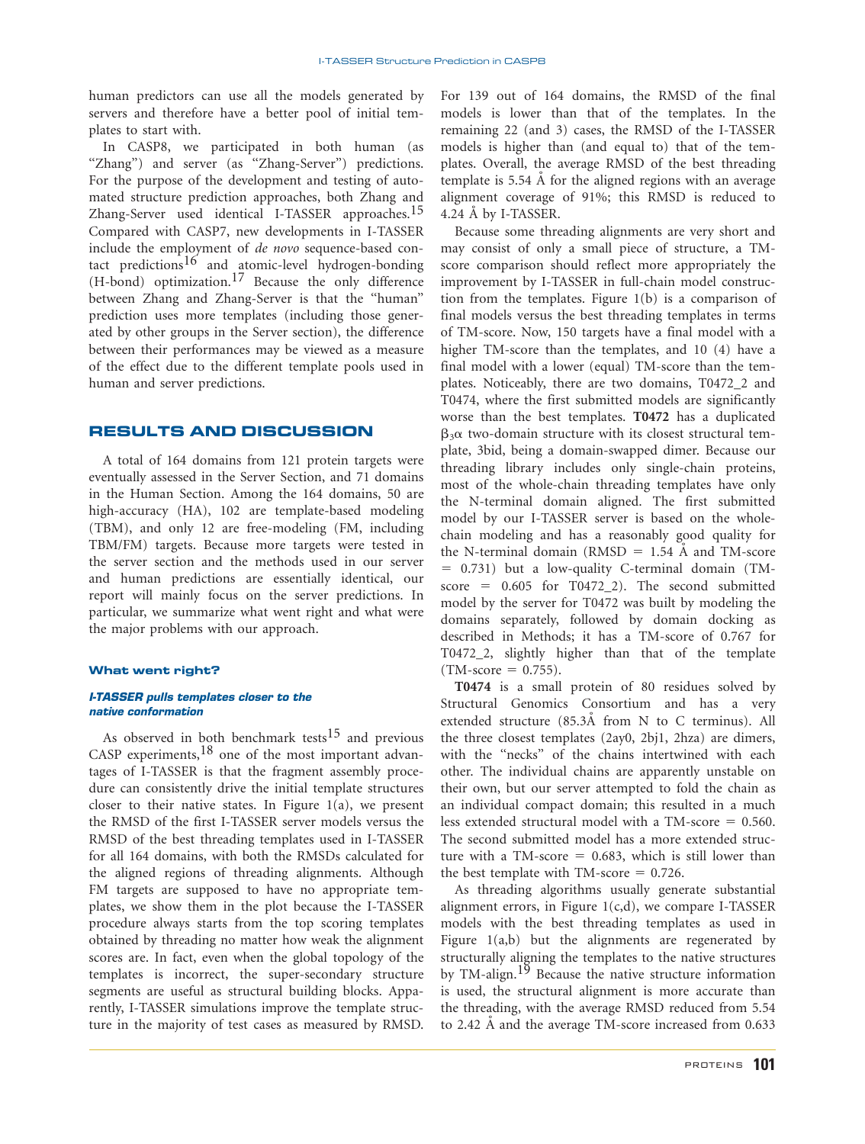human predictors can use all the models generated by servers and therefore have a better pool of initial templates to start with.

In CASP8, we participated in both human (as "Zhang") and server (as "Zhang-Server") predictions. For the purpose of the development and testing of automated structure prediction approaches, both Zhang and Zhang-Server used identical I-TASSER approaches.<sup>15</sup> Compared with CASP7, new developments in I-TASSER include the employment of de novo sequence-based contact predictions<sup>16</sup> and atomic-level hydrogen-bonding  $(H$ -bond) optimization.<sup>17</sup> Because the only difference between Zhang and Zhang-Server is that the ''human'' prediction uses more templates (including those generated by other groups in the Server section), the difference between their performances may be viewed as a measure of the effect due to the different template pools used in human and server predictions.

# RESULTS AND DISCUSSION

A total of 164 domains from 121 protein targets were eventually assessed in the Server Section, and 71 domains in the Human Section. Among the 164 domains, 50 are high-accuracy (HA), 102 are template-based modeling (TBM), and only 12 are free-modeling (FM, including TBM/FM) targets. Because more targets were tested in the server section and the methods used in our server and human predictions are essentially identical, our report will mainly focus on the server predictions. In particular, we summarize what went right and what were the major problems with our approach.

### What went right?

## I-TASSER pulls templates closer to the native conformation

As observed in both benchmark tests<sup>15</sup> and previous CASP experiments,  $18$  one of the most important advantages of I-TASSER is that the fragment assembly procedure can consistently drive the initial template structures closer to their native states. In Figure  $1(a)$ , we present the RMSD of the first I-TASSER server models versus the RMSD of the best threading templates used in I-TASSER for all 164 domains, with both the RMSDs calculated for the aligned regions of threading alignments. Although FM targets are supposed to have no appropriate templates, we show them in the plot because the I-TASSER procedure always starts from the top scoring templates obtained by threading no matter how weak the alignment scores are. In fact, even when the global topology of the templates is incorrect, the super-secondary structure segments are useful as structural building blocks. Apparently, I-TASSER simulations improve the template structure in the majority of test cases as measured by RMSD.

For 139 out of 164 domains, the RMSD of the final models is lower than that of the templates. In the remaining 22 (and 3) cases, the RMSD of the I-TASSER models is higher than (and equal to) that of the templates. Overall, the average RMSD of the best threading template is 5.54 Å for the aligned regions with an average alignment coverage of 91%; this RMSD is reduced to 4.24 A by I-TASSER.

Because some threading alignments are very short and may consist of only a small piece of structure, a TMscore comparison should reflect more appropriately the improvement by I-TASSER in full-chain model construction from the templates. Figure 1(b) is a comparison of final models versus the best threading templates in terms of TM-score. Now, 150 targets have a final model with a higher TM-score than the templates, and 10 (4) have a final model with a lower (equal) TM-score than the templates. Noticeably, there are two domains, T0472\_2 and T0474, where the first submitted models are significantly worse than the best templates. T0472 has a duplicated  $\beta_3\alpha$  two-domain structure with its closest structural template, 3bid, being a domain-swapped dimer. Because our threading library includes only single-chain proteins, most of the whole-chain threading templates have only the N-terminal domain aligned. The first submitted model by our I-TASSER server is based on the wholechain modeling and has a reasonably good quality for the N-terminal domain (RMSD =  $1.54$  Å and TM-score  $= 0.731$ ) but a low-quality C-terminal domain (TMscore =  $0.605$  for T0472\_2). The second submitted model by the server for T0472 was built by modeling the domains separately, followed by domain docking as described in Methods; it has a TM-score of 0.767 for T0472\_2, slightly higher than that of the template  $(TM-score = 0.755).$ 

T0474 is a small protein of 80 residues solved by Structural Genomics Consortium and has a very extended structure (85.3Å from N to C terminus). All the three closest templates (2ay0, 2bj1, 2hza) are dimers, with the "necks" of the chains intertwined with each other. The individual chains are apparently unstable on their own, but our server attempted to fold the chain as an individual compact domain; this resulted in a much less extended structural model with a TM-score  $= 0.560$ . The second submitted model has a more extended structure with a TM-score  $= 0.683$ , which is still lower than the best template with  $TM\text{-}score = 0.726$ .

As threading algorithms usually generate substantial alignment errors, in Figure  $1(c,d)$ , we compare I-TASSER models with the best threading templates as used in Figure  $1(a,b)$  but the alignments are regenerated by structurally aligning the templates to the native structures by TM-align.19 Because the native structure information is used, the structural alignment is more accurate than the threading, with the average RMSD reduced from 5.54 to 2.42 Å and the average TM-score increased from 0.633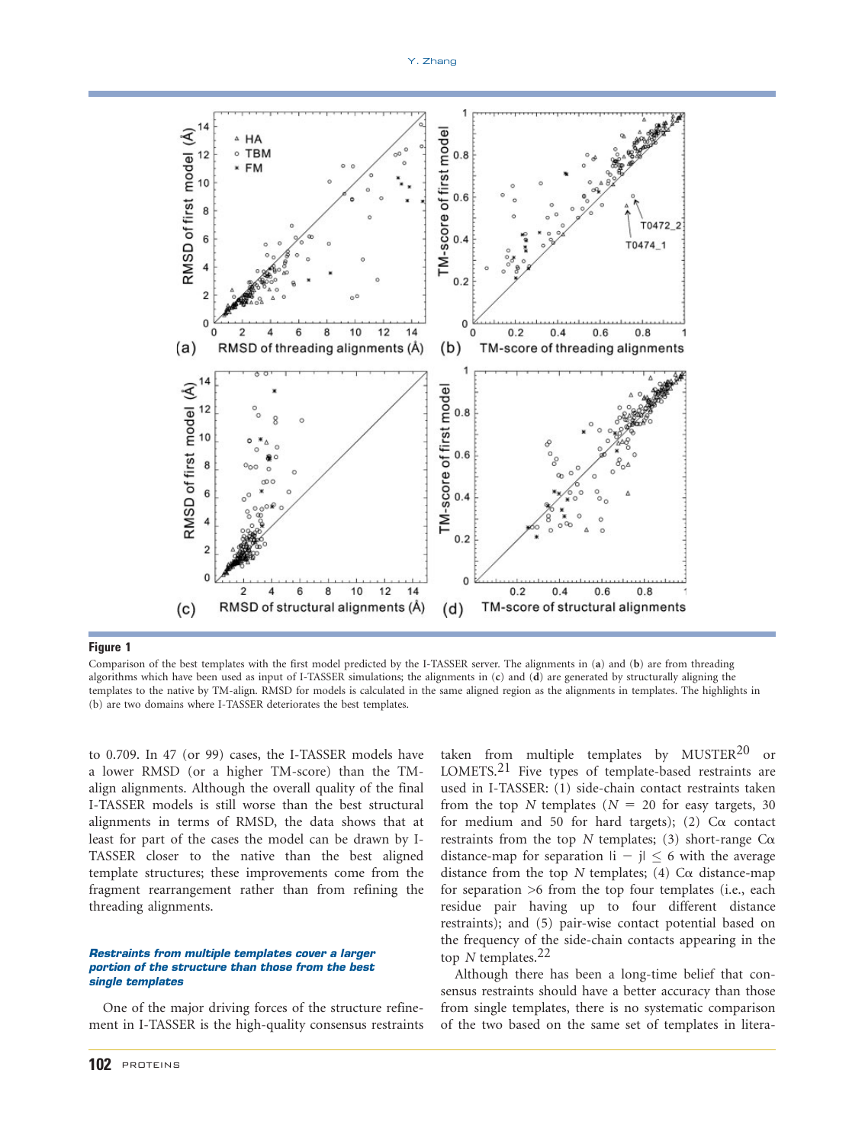

Figure 1 Comparison of the best templates with the first model predicted by the I-TASSER server. The alignments in (a) and (b) are from threading algorithms which have been used as input of I-TASSER simulations; the alignments in (c) and (d) are generated by structurally aligning the templates to the native by TM-align. RMSD for models is calculated in the same aligned region as the alignments in templates. The highlights in (b) are two domains where I-TASSER deteriorates the best templates.

to 0.709. In 47 (or 99) cases, the I-TASSER models have a lower RMSD (or a higher TM-score) than the TMalign alignments. Although the overall quality of the final I-TASSER models is still worse than the best structural alignments in terms of RMSD, the data shows that at least for part of the cases the model can be drawn by I-TASSER closer to the native than the best aligned template structures; these improvements come from the fragment rearrangement rather than from refining the threading alignments.

# Restraints from multiple templates cover a larger portion of the structure than those from the best single templates

One of the major driving forces of the structure refinement in I-TASSER is the high-quality consensus restraints LOMETS.21 Five types of template-based restraints are used in I-TASSER: (1) side-chain contact restraints taken from the top N templates ( $N = 20$  for easy targets, 30 for medium and 50 for hard targets); (2)  $Ca$  contact restraints from the top N templates; (3) short-range  $C\alpha$ distance-map for separation  $|i - j| \leq 6$  with the average distance from the top N templates; (4)  $C\alpha$  distance-map for separation >6 from the top four templates (i.e., each residue pair having up to four different distance restraints); and (5) pair-wise contact potential based on the frequency of the side-chain contacts appearing in the top N templates. $22$ 

taken from multiple templates by  $MUSTER<sup>20</sup>$  or

Although there has been a long-time belief that consensus restraints should have a better accuracy than those from single templates, there is no systematic comparison of the two based on the same set of templates in litera-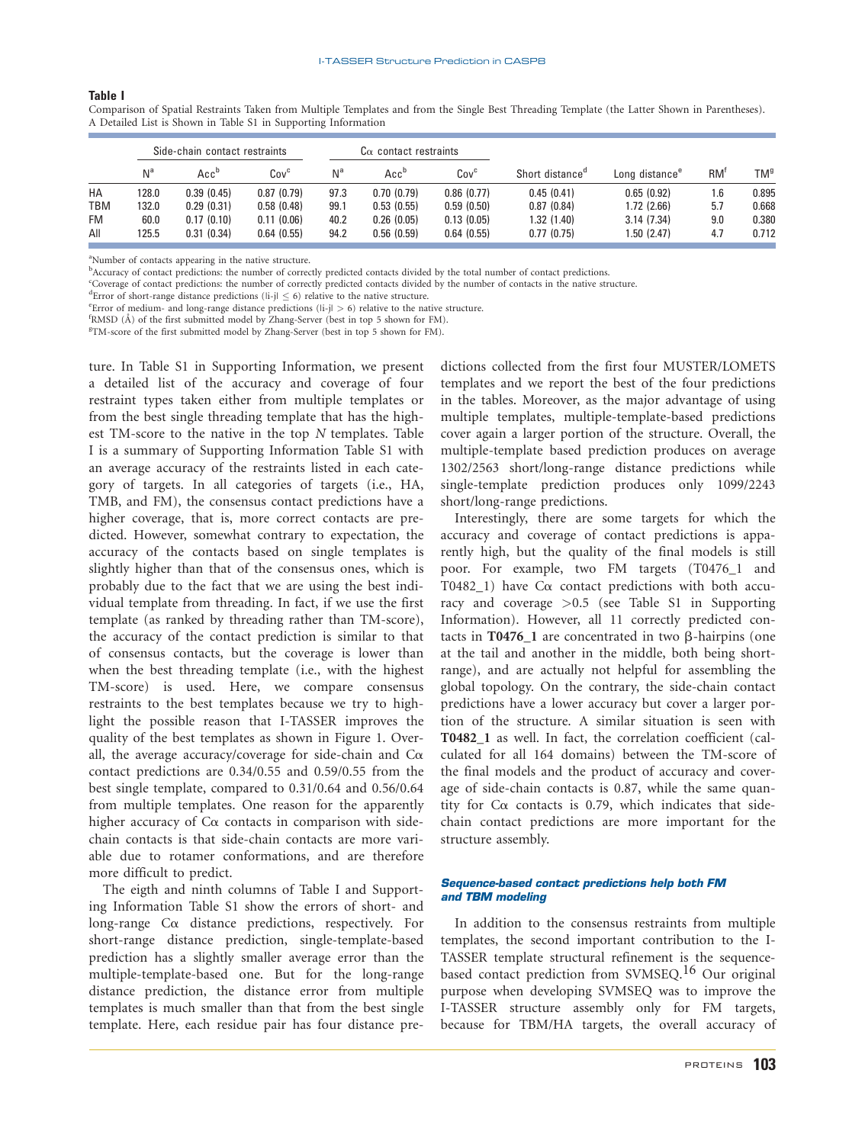#### **Table I**

|            | Side-chain contact restraints |                  |                  | $C\alpha$ contact restraints |                  |                  |                             |                            |                 |       |
|------------|-------------------------------|------------------|------------------|------------------------------|------------------|------------------|-----------------------------|----------------------------|-----------------|-------|
|            | N <sup>a</sup>                | Acc <sup>b</sup> | Cov <sup>c</sup> | N <sup>a</sup>               | Acc <sup>b</sup> | Cov <sup>c</sup> | Short distance <sup>d</sup> | Long distance <sup>e</sup> | RM <sup>t</sup> | TMª   |
| HA         | 128.0                         | 0.39(0.45)       | 0.87(0.79)       | 97.3                         | 0.70(0.79)       | 0.86(0.77)       | 0.45(0.41)                  | 0.65(0.92)                 | 1.6             | 0.895 |
| <b>TBM</b> | 132.0                         | 0.29(0.31)       | 0.58(0.48)       | 99.1                         | 0.53(0.55)       | 0.59(0.50)       | 0.87(0.84)                  | 1.72 (2.66)                | 5.7             | 0.668 |
| <b>FM</b>  | 60.0                          | 0.17(0.10)       | 0.11(0.06)       | 40.2                         | 0.26(0.05)       | 0.13(0.05)       | 1.32(1.40)                  | 3.14(7.34)                 | 9.0             | 0.380 |
| All        | 125.5                         | 0.31(0.34)       | 0.64(0.55)       | 94.2                         | 0.56(0.59)       | 0.64(0.55)       | 0.77(0.75)                  | 1.50 (2.47)                | 4.7             | 0.712 |

Table I Comparison of Spatial Restraints Taken from Multiple Templates and from the Single Best Threading Template (the Latter Shown in Parentheses). A Detailed List is Shown in Table S1 in Supporting Information

<sup>a</sup>Number of contacts appearing in the native structure.

<sup>b</sup>Accuracy of contact predictions: the number of correctly predicted contacts divided by the total number of contact predictions.

c Coverage of contact predictions: the number of correctly predicted contacts divided by the number of contacts in the native structure.

<sup>d</sup>Error of short-range distance predictions ( $\vert i-j \vert \leq 6$ ) relative to the native structure.

<sup>e</sup> Error of medium- and long-range distance predictions ( $|i-j| > 6$ ) relative to the native structure.

 $f$ RMSD (Å) of the first submitted model by Zhang-Server (best in top 5 shown for FM).

TM-score of the first submitted model by Zhang-Server (best in top 5 shown for FM).

ture. In Table S1 in Supporting Information, we present a detailed list of the accuracy and coverage of four restraint types taken either from multiple templates or from the best single threading template that has the highest TM-score to the native in the top N templates. Table I is a summary of Supporting Information Table S1 with an average accuracy of the restraints listed in each category of targets. In all categories of targets (i.e., HA, TMB, and FM), the consensus contact predictions have a higher coverage, that is, more correct contacts are predicted. However, somewhat contrary to expectation, the accuracy of the contacts based on single templates is slightly higher than that of the consensus ones, which is probably due to the fact that we are using the best individual template from threading. In fact, if we use the first template (as ranked by threading rather than TM-score), the accuracy of the contact prediction is similar to that of consensus contacts, but the coverage is lower than when the best threading template (i.e., with the highest TM-score) is used. Here, we compare consensus restraints to the best templates because we try to highlight the possible reason that I-TASSER improves the quality of the best templates as shown in Figure 1. Overall, the average accuracy/coverage for side-chain and  $C\alpha$ contact predictions are 0.34/0.55 and 0.59/0.55 from the best single template, compared to 0.31/0.64 and 0.56/0.64 from multiple templates. One reason for the apparently higher accuracy of  $C\alpha$  contacts in comparison with sidechain contacts is that side-chain contacts are more variable due to rotamer conformations, and are therefore more difficult to predict.

The eigth and ninth columns of Table I and Supporting Information Table S1 show the errors of short- and long-range Ca distance predictions, respectively. For short-range distance prediction, single-template-based prediction has a slightly smaller average error than the multiple-template-based one. But for the long-range distance prediction, the distance error from multiple templates is much smaller than that from the best single template. Here, each residue pair has four distance predictions collected from the first four MUSTER/LOMETS templates and we report the best of the four predictions in the tables. Moreover, as the major advantage of using multiple templates, multiple-template-based predictions cover again a larger portion of the structure. Overall, the multiple-template based prediction produces on average 1302/2563 short/long-range distance predictions while single-template prediction produces only 1099/2243 short/long-range predictions.

Interestingly, there are some targets for which the accuracy and coverage of contact predictions is apparently high, but the quality of the final models is still poor. For example, two FM targets (T0476\_1 and T0482 $\angle$ 1) have C $\alpha$  contact predictions with both accuracy and coverage >0.5 (see Table S1 in Supporting Information). However, all 11 correctly predicted contacts in T0476  $\,$ 1 are concentrated in two  $\beta$ -hairpins (one at the tail and another in the middle, both being shortrange), and are actually not helpful for assembling the global topology. On the contrary, the side-chain contact predictions have a lower accuracy but cover a larger portion of the structure. A similar situation is seen with T0482\_1 as well. In fact, the correlation coefficient (calculated for all 164 domains) between the TM-score of the final models and the product of accuracy and coverage of side-chain contacts is 0.87, while the same quantity for  $Ca$  contacts is 0.79, which indicates that sidechain contact predictions are more important for the structure assembly.

# Sequence-based contact predictions help both FM and TBM modeling

In addition to the consensus restraints from multiple templates, the second important contribution to the I-TASSER template structural refinement is the sequencebased contact prediction from SVMSEQ.<sup>16</sup> Our original purpose when developing SVMSEQ was to improve the I-TASSER structure assembly only for FM targets, because for TBM/HA targets, the overall accuracy of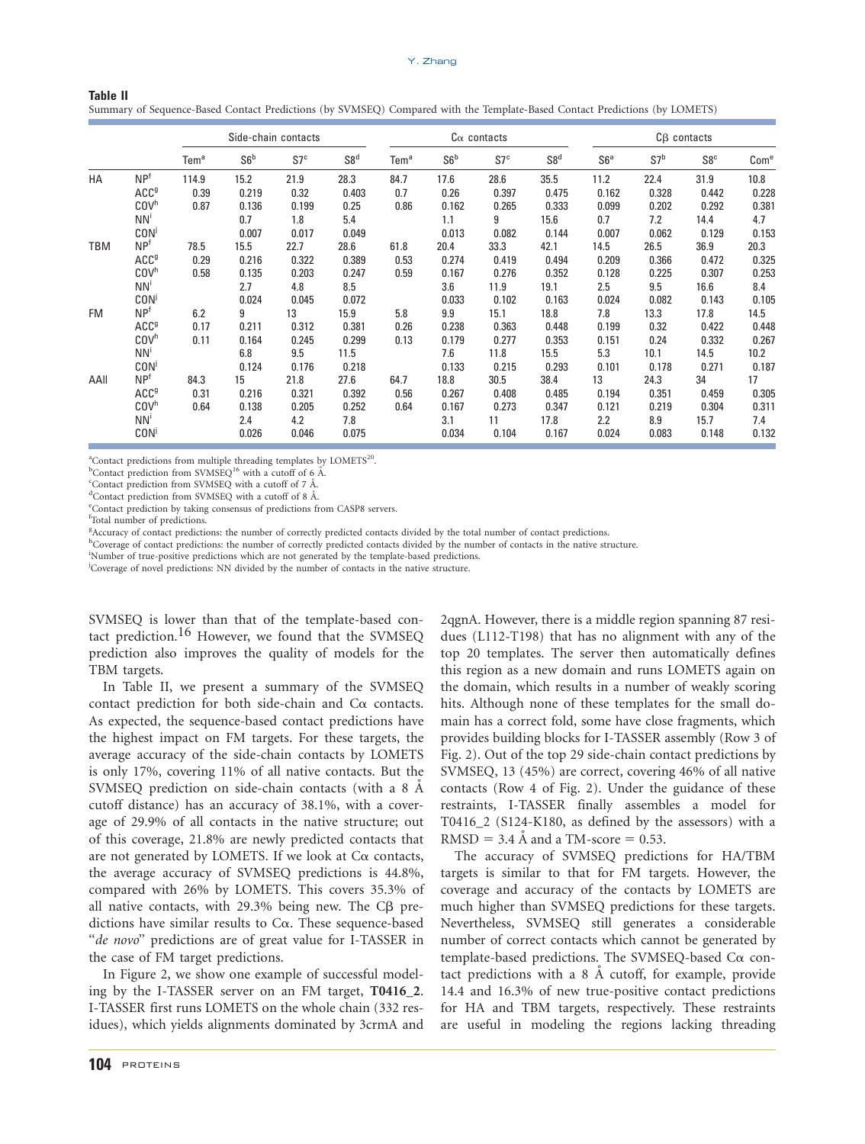|            |                                                                                          | Side-chain contacts   |                                        |                                        | $C\alpha$ contacts                      |                      |                                        |                                         | $C\beta$ contacts                       |                                        |                                        |                                         |                                         |
|------------|------------------------------------------------------------------------------------------|-----------------------|----------------------------------------|----------------------------------------|-----------------------------------------|----------------------|----------------------------------------|-----------------------------------------|-----------------------------------------|----------------------------------------|----------------------------------------|-----------------------------------------|-----------------------------------------|
|            |                                                                                          | Tem <sup>a</sup>      | S6 <sup>b</sup>                        | S7 <sup>c</sup>                        | S8 <sup>d</sup>                         | Tem <sup>a</sup>     | S6 <sup>b</sup>                        | S7 <sup>c</sup>                         | S8 <sup>d</sup>                         | S6 <sup>a</sup>                        | S7 <sup>b</sup>                        | S8 <sup>c</sup>                         | Com <sup>e</sup>                        |
| HA         | NP <sup>f</sup><br>ACC <sup>g</sup><br>COV <sup>h</sup><br>NN'<br><b>CON</b>             | 114.9<br>0.39<br>0.87 | 15.2<br>0.219<br>0.136<br>0.7<br>0.007 | 21.9<br>0.32<br>0.199<br>1.8<br>0.017  | 28.3<br>0.403<br>0.25<br>5.4<br>0.049   | 84.7<br>0.7<br>0.86  | 17.6<br>0.26<br>0.162<br>1.1<br>0.013  | 28.6<br>0.397<br>0.265<br>9<br>0.082    | 35.5<br>0.475<br>0.333<br>15.6<br>0.144 | 11.2<br>0.162<br>0.099<br>0.7<br>0.007 | 22.4<br>0.328<br>0.202<br>7.2<br>0.062 | 31.9<br>0.442<br>0.292<br>14.4<br>0.129 | 10.8<br>0.228<br>0.381<br>4.7<br>0.153  |
| <b>TBM</b> | NP <sup>f</sup><br>ACC <sup>9</sup><br>COV <sup>h</sup><br>NN'<br><b>CON</b>             | 78.5<br>0.29<br>0.58  | 15.5<br>0.216<br>0.135<br>2.7<br>0.024 | 22.7<br>0.322<br>0.203<br>4.8<br>0.045 | 28.6<br>0.389<br>0.247<br>8.5<br>0.072  | 61.8<br>0.53<br>0.59 | 20.4<br>0.274<br>0.167<br>3.6<br>0.033 | 33.3<br>0.419<br>0.276<br>11.9<br>0.102 | 42.1<br>0.494<br>0.352<br>19.1<br>0.163 | 14.5<br>0.209<br>0.128<br>2.5<br>0.024 | 26.5<br>0.366<br>0.225<br>9.5<br>0.082 | 36.9<br>0.472<br>0.307<br>16.6<br>0.143 | 20.3<br>0.325<br>0.253<br>8.4<br>0.105  |
| <b>FM</b>  | NP <sup>f</sup><br>ACC <sup>9</sup><br>COV <sup>h</sup><br>NN <sup>i</sup><br><b>CON</b> | 6.2<br>0.17<br>0.11   | 9<br>0.211<br>0.164<br>6.8<br>0.124    | 13<br>0.312<br>0.245<br>9.5<br>0.176   | 15.9<br>0.381<br>0.299<br>11.5<br>0.218 | 5.8<br>0.26<br>0.13  | 9.9<br>0.238<br>0.179<br>7.6<br>0.133  | 15.1<br>0.363<br>0.277<br>11.8<br>0.215 | 18.8<br>0.448<br>0.353<br>15.5<br>0.293 | 7.8<br>0.199<br>0.151<br>5.3<br>0.101  | 13.3<br>0.32<br>0.24<br>10.1<br>0.178  | 17.8<br>0.422<br>0.332<br>14.5<br>0.271 | 14.5<br>0.448<br>0.267<br>10.2<br>0.187 |
| AAII       | NP <sup>f</sup><br>ACC <sup>9</sup><br>COV <sup>h</sup><br>NN <sup>i</sup><br><b>CON</b> | 84.3<br>0.31<br>0.64  | 15<br>0.216<br>0.138<br>2.4<br>0.026   | 21.8<br>0.321<br>0.205<br>4.2<br>0.046 | 27.6<br>0.392<br>0.252<br>7.8<br>0.075  | 64.7<br>0.56<br>0.64 | 18.8<br>0.267<br>0.167<br>3.1<br>0.034 | 30.5<br>0.408<br>0.273<br>11<br>0.104   | 38.4<br>0.485<br>0.347<br>17.8<br>0.167 | 13<br>0.194<br>0.121<br>2.2<br>0.024   | 24.3<br>0.351<br>0.219<br>8.9<br>0.083 | 34<br>0.459<br>0.304<br>15.7<br>0.148   | 17<br>0.305<br>0.311<br>7.4<br>0.132    |

Table II Summary of Sequence-Based Contact Predictions (by SVMSEQ) Compared with the Template-Based Contact Predictions (by LOMETS)

<sup>a</sup>Contact predictions from multiple threading templates by LOMETS<sup>20</sup>.

 $b$ Contact prediction from SVMSEQ<sup>16</sup> with a cutoff of 6  $\AA$ 

<sup>c</sup>Contact prediction from SVMSEQ with a cutoff of 7 Å.

 $\alpha$ <sup>d</sup>Contact prediction from SVMSEQ with a cutoff of 8 Å. Contact prediction by taking consensus of predictions from CASP8 servers.

f Total number of predictions.

<sup>g</sup>Accuracy of contact predictions: the number of correctly predicted contacts divided by the total number of contact predictions.

<sup>h</sup>Coverage of contact predictions: the number of correctly predicted contacts divided by the number of contacts in the native structure.

i Number of true-positive predictions which are not generated by the template-based predictions.

<sup>j</sup>Coverage of novel predictions: NN divided by the number of contacts in the native structure.

SVMSEQ is lower than that of the template-based contact prediction.<sup>16</sup> However, we found that the SVMSEQ prediction also improves the quality of models for the TBM targets.

In Table II, we present a summary of the SVMSEQ contact prediction for both side-chain and  $Ca$  contacts. As expected, the sequence-based contact predictions have the highest impact on FM targets. For these targets, the average accuracy of the side-chain contacts by LOMETS is only 17%, covering 11% of all native contacts. But the SVMSEQ prediction on side-chain contacts (with a 8 A cutoff distance) has an accuracy of 38.1%, with a coverage of 29.9% of all contacts in the native structure; out of this coverage, 21.8% are newly predicted contacts that are not generated by LOMETS. If we look at  $Ca$  contacts, the average accuracy of SVMSEQ predictions is 44.8%, compared with 26% by LOMETS. This covers 35.3% of all native contacts, with 29.3% being new. The  $C\beta$  predictions have similar results to  $Ca$ . These sequence-based "de novo" predictions are of great value for I-TASSER in the case of FM target predictions.

In Figure 2, we show one example of successful modeling by the I-TASSER server on an FM target, T0416 2. I-TASSER first runs LOMETS on the whole chain (332 residues), which yields alignments dominated by 3crmA and

2qgnA. However, there is a middle region spanning 87 residues (L112-T198) that has no alignment with any of the top 20 templates. The server then automatically defines this region as a new domain and runs LOMETS again on the domain, which results in a number of weakly scoring hits. Although none of these templates for the small domain has a correct fold, some have close fragments, which provides building blocks for I-TASSER assembly (Row 3 of Fig. 2). Out of the top 29 side-chain contact predictions by SVMSEQ, 13 (45%) are correct, covering 46% of all native contacts (Row 4 of Fig. 2). Under the guidance of these restraints, I-TASSER finally assembles a model for T0416\_2 (S124-K180, as defined by the assessors) with a RMSD =  $3.4$  Å and a TM-score = 0.53.

The accuracy of SVMSEQ predictions for HA/TBM targets is similar to that for FM targets. However, the coverage and accuracy of the contacts by LOMETS are much higher than SVMSEQ predictions for these targets. Nevertheless, SVMSEQ still generates a considerable number of correct contacts which cannot be generated by template-based predictions. The SVMSEQ-based  $Ca$  contact predictions with a  $8$  Å cutoff, for example, provide 14.4 and 16.3% of new true-positive contact predictions for HA and TBM targets, respectively. These restraints are useful in modeling the regions lacking threading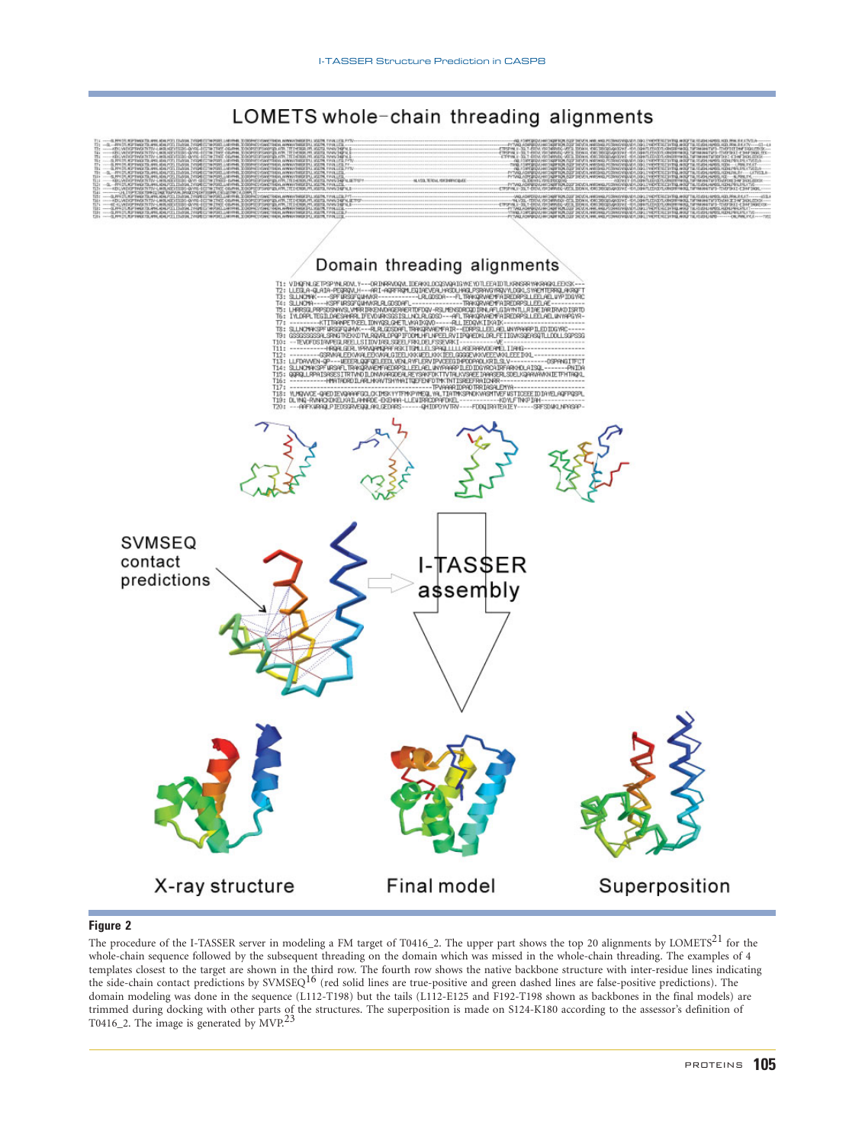

# LOMETS whole-chain threading alignments

The procedure of the I-TASSER server in modeling a FM target of T0416\_2. The upper part shows the top 20 alignments by LOMETS<sup>21</sup> for the whole-chain sequence followed by the subsequent threading on the domain which was missed in the whole-chain threading. The examples of 4 templates closest to the target are shown in the third row. The fourth row shows the native backbone structure with inter-residue lines indicating<br>the side-chain contact predictions by SVMSEQ<sup>16</sup> (red solid lines are truedomain modeling was done in the sequence (L112-T198) but the tails (L112-E125 and F192-T198 shown as backbones in the final models) are trimmed during docking with other parts of the structures. The superposition is made on S124-K180 according to the assessor's definition of<br>T0416\_2. The image is generated by MVP.<sup>23</sup>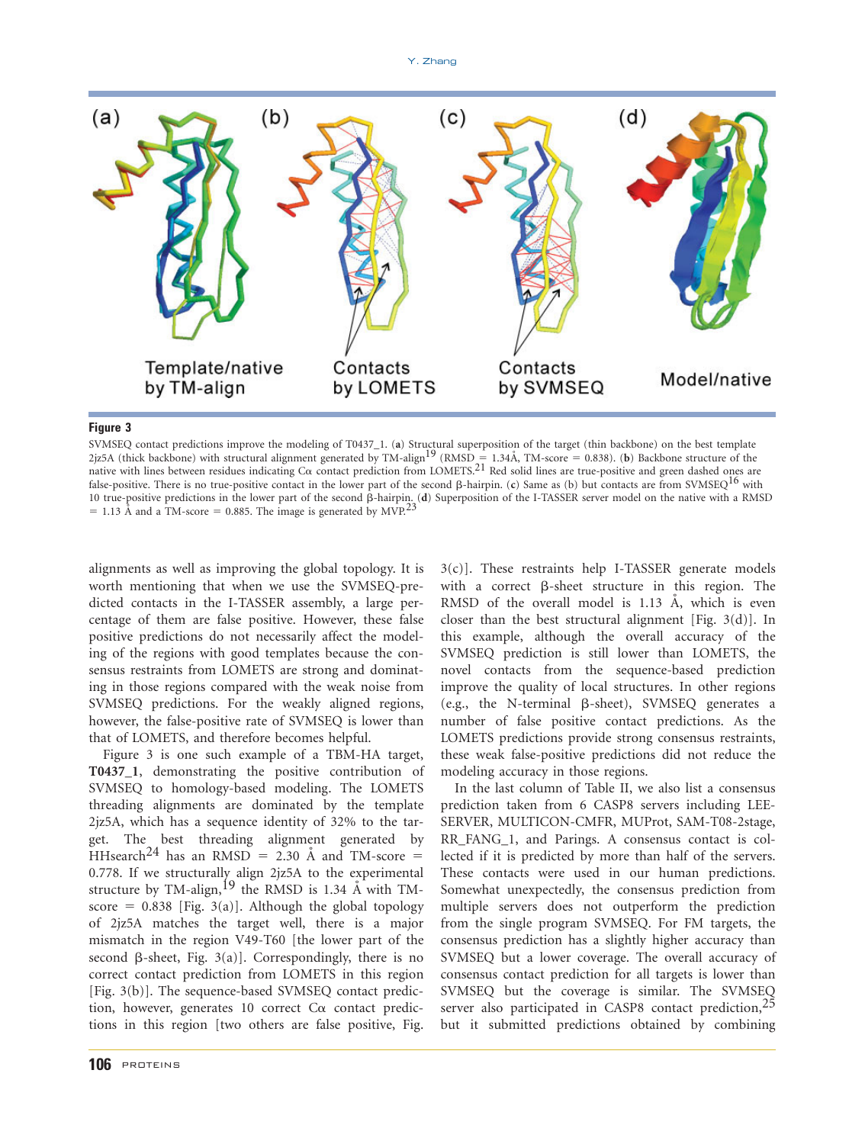

Figure 3 SVMSEQ contact predictions improve the modeling of T0437\_1. (a) Structural superposition of the target (thin backbone) on the best template 2jz5A (thick backbone) with structural alignment generated by TM-align<sup>19</sup> (RMSD = 1.34Å, TM-score = 0.838). (b) Backbone structure of the native with lines between residues indicating C $\alpha$  contact prediction from LOMETS.<sup>21</sup> Red solid lines are true-positive and green dashed ones are false-positive. There is no true-positive contact in the lower part of the second  $\beta$ -hairpin. (c) Same as (b) but contacts are from SVMSEQ<sup>16</sup> with 10 true-positive predictions in the lower part of the second β-hairpin. (**d**) Superposition of the I-TASSER server model on the native with a RMSD = 1.13 Å and a TM-score = 0.885. The image is generated by MVP.<sup>23</sup>

alignments as well as improving the global topology. It is worth mentioning that when we use the SVMSEQ-predicted contacts in the I-TASSER assembly, a large percentage of them are false positive. However, these false positive predictions do not necessarily affect the modeling of the regions with good templates because the consensus restraints from LOMETS are strong and dominating in those regions compared with the weak noise from SVMSEQ predictions. For the weakly aligned regions, however, the false-positive rate of SVMSEQ is lower than that of LOMETS, and therefore becomes helpful.

Figure 3 is one such example of a TBM-HA target, T0437\_1, demonstrating the positive contribution of SVMSEQ to homology-based modeling. The LOMETS threading alignments are dominated by the template 2jz5A, which has a sequence identity of 32% to the target. The best threading alignment generated by HHsearch<sup>24</sup> has an RMSD = 2.30 Å and TM-score = 0.778. If we structurally align 2jz5A to the experimental structure by TM-align,  $^{19}$  the RMSD is 1.34 Å with TMscore =  $0.838$  [Fig. 3(a)]. Although the global topology of 2jz5A matches the target well, there is a major mismatch in the region V49-T60 [the lower part of the second  $\beta$ -sheet, Fig. 3(a)]. Correspondingly, there is no correct contact prediction from LOMETS in this region [Fig. 3(b)]. The sequence-based SVMSEQ contact prediction, however, generates 10 correct  $C\alpha$  contact predictions in this region [two others are false positive, Fig.

3(c)]. These restraints help I-TASSER generate models with a correct  $\beta$ -sheet structure in this region. The RMSD of the overall model is  $1.13$  Å, which is even closer than the best structural alignment [Fig. 3(d)]. In this example, although the overall accuracy of the SVMSEQ prediction is still lower than LOMETS, the novel contacts from the sequence-based prediction improve the quality of local structures. In other regions (e.g., the N-terminal  $\beta$ -sheet), SVMSEQ generates a number of false positive contact predictions. As the LOMETS predictions provide strong consensus restraints, these weak false-positive predictions did not reduce the modeling accuracy in those regions.

In the last column of Table II, we also list a consensus prediction taken from 6 CASP8 servers including LEE-SERVER, MULTICON-CMFR, MUProt, SAM-T08-2stage, RR\_FANG\_1, and Parings. A consensus contact is collected if it is predicted by more than half of the servers. These contacts were used in our human predictions. Somewhat unexpectedly, the consensus prediction from multiple servers does not outperform the prediction from the single program SVMSEQ. For FM targets, the consensus prediction has a slightly higher accuracy than SVMSEQ but a lower coverage. The overall accuracy of consensus contact prediction for all targets is lower than SVMSEQ but the coverage is similar. The SVMSEQ server also participated in CASP8 contact prediction,<sup>25</sup> but it submitted predictions obtained by combining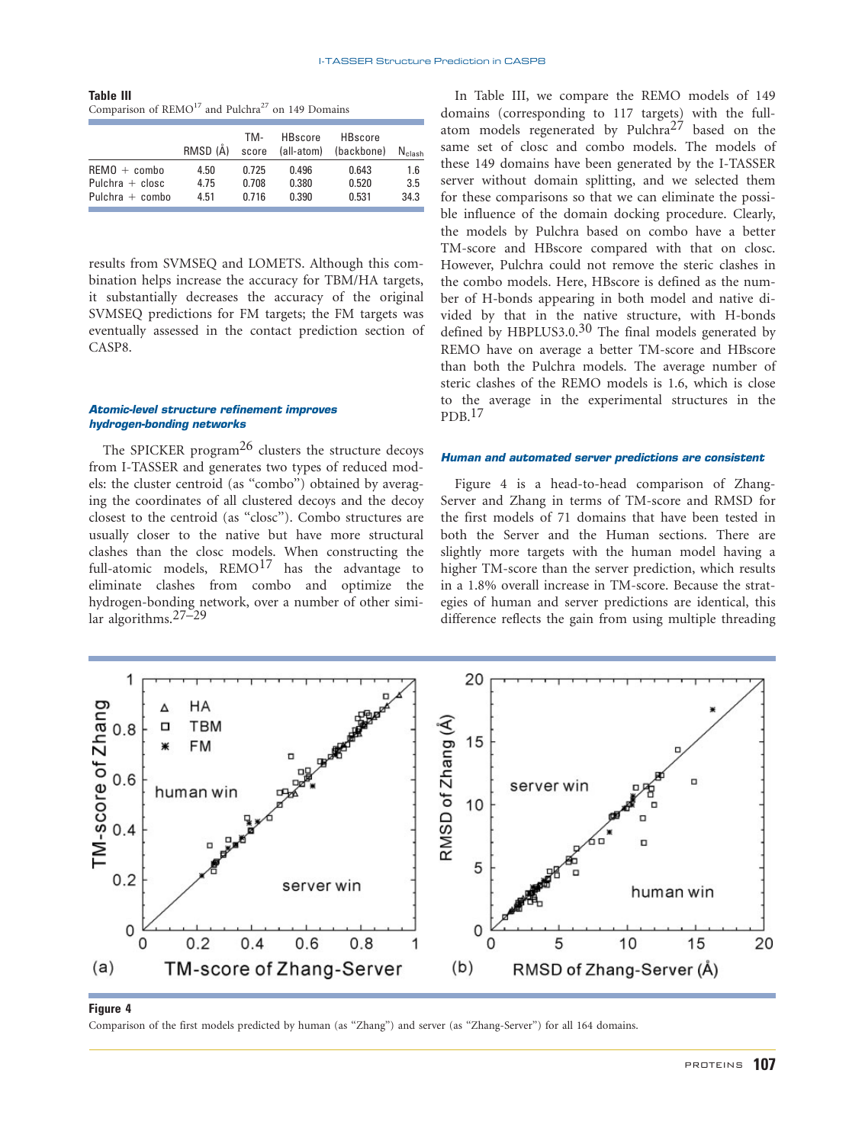Comparison of REMO<sup>17</sup> and Pulchra<sup>27</sup> on 149 Domains

|                   | RMSD (Å) | TM-<br>score | <b>HBscore</b><br>(all-atom) | <b>HBscore</b><br>(backbone) | $N_{\text{clash}}$ |
|-------------------|----------|--------------|------------------------------|------------------------------|--------------------|
| $REMO + comb$     | 4.50     | 0.725        | 0.496                        | 0.643                        | 1.6                |
| Pulchra $+$ closc | 4.75     | 0.708        | 0.380                        | 0.520                        | 3.5                |
| Pulchra $+$ combo | 4.51     | 0.716        | 0.390                        | 0.531                        | 34.3               |
|                   |          |              |                              |                              |                    |

results from SVMSEQ and LOMETS. Although this combination helps increase the accuracy for TBM/HA targets, it substantially decreases the accuracy of the original SVMSEQ predictions for FM targets; the FM targets was eventually assessed in the contact prediction section of CASP8.

# Atomic-level structure refinement improves hydrogen-bonding networks

The SPICKER program<sup>26</sup> clusters the structure decoys from I-TASSER and generates two types of reduced models: the cluster centroid (as ''combo'') obtained by averaging the coordinates of all clustered decoys and the decoy closest to the centroid (as ''closc''). Combo structures are usually closer to the native but have more structural clashes than the closc models. When constructing the full-atomic models,  $\mathrm{REMO}^{17}$  has the advantage to eliminate clashes from combo and optimize the hydrogen-bonding network, over a number of other simi- $\ar{ algorithms.}^{27-29}$ 

In Table III, we compare the REMO models of 149 domains (corresponding to 117 targets) with the fullatom models regenerated by Pulchra<sup>27</sup> based on the same set of closc and combo models. The models of these 149 domains have been generated by the I-TASSER server without domain splitting, and we selected them for these comparisons so that we can eliminate the possible influence of the domain docking procedure. Clearly, the models by Pulchra based on combo have a better TM-score and HBscore compared with that on closc. However, Pulchra could not remove the steric clashes in the combo models. Here, HBscore is defined as the number of H-bonds appearing in both model and native divided by that in the native structure, with H-bonds defined by HBPLUS3.0.<sup>30</sup> The final models generated by REMO have on average a better TM-score and HBscore than both the Pulchra models. The average number of steric clashes of the REMO models is 1.6, which is close to the average in the experimental structures in the  $PDB.$ <sup>17</sup>

# Human and automated server predictions are consistent

Figure 4 is a head-to-head comparison of Zhang-Server and Zhang in terms of TM-score and RMSD for the first models of 71 domains that have been tested in both the Server and the Human sections. There are slightly more targets with the human model having a higher TM-score than the server prediction, which results in a 1.8% overall increase in TM-score. Because the strategies of human and server predictions are identical, this difference reflects the gain from using multiple threading



Figure 4 Comparison of the first models predicted by human (as ''Zhang'') and server (as ''Zhang-Server'') for all 164 domains.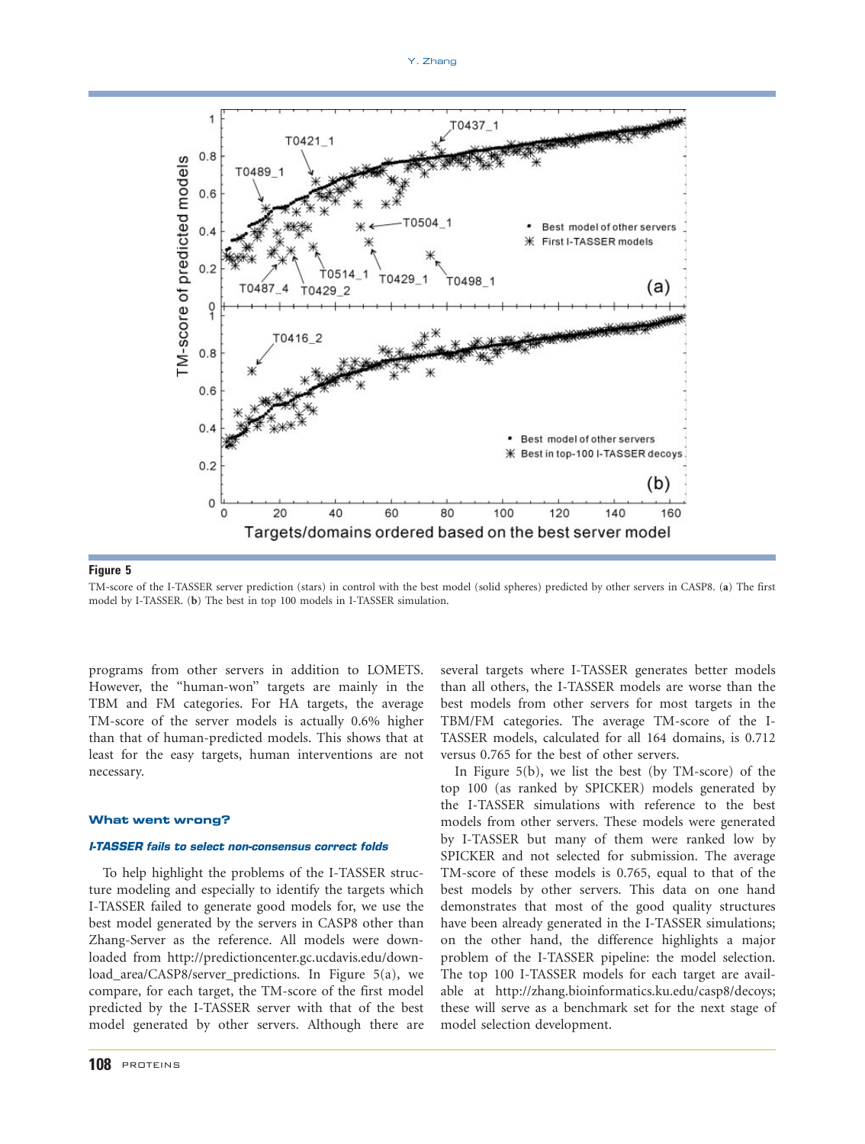

Figure 5 TM-score of the I-TASSER server prediction (stars) in control with the best model (solid spheres) predicted by other servers in CASP8. (a) The first model by I-TASSER. (b) The best in top 100 models in I-TASSER simulation.

programs from other servers in addition to LOMETS. However, the ''human-won'' targets are mainly in the TBM and FM categories. For HA targets, the average TM-score of the server models is actually 0.6% higher than that of human-predicted models. This shows that at least for the easy targets, human interventions are not necessary.

#### What went wrong?

# I-TASSER fails to select non-consensus correct folds

To help highlight the problems of the I-TASSER structure modeling and especially to identify the targets which I-TASSER failed to generate good models for, we use the best model generated by the servers in CASP8 other than Zhang-Server as the reference. All models were downloaded from http://predictioncenter.gc.ucdavis.edu/download\_area/CASP8/server\_predictions. In Figure 5(a), we compare, for each target, the TM-score of the first model predicted by the I-TASSER server with that of the best model generated by other servers. Although there are

several targets where I-TASSER generates better models than all others, the I-TASSER models are worse than the best models from other servers for most targets in the TBM/FM categories. The average TM-score of the I-TASSER models, calculated for all 164 domains, is 0.712 versus 0.765 for the best of other servers.

In Figure 5(b), we list the best (by TM-score) of the top 100 (as ranked by SPICKER) models generated by the I-TASSER simulations with reference to the best models from other servers. These models were generated by I-TASSER but many of them were ranked low by SPICKER and not selected for submission. The average TM-score of these models is 0.765, equal to that of the best models by other servers. This data on one hand demonstrates that most of the good quality structures have been already generated in the I-TASSER simulations; on the other hand, the difference highlights a major problem of the I-TASSER pipeline: the model selection. The top 100 I-TASSER models for each target are available at http://zhang.bioinformatics.ku.edu/casp8/decoys; these will serve as a benchmark set for the next stage of model selection development.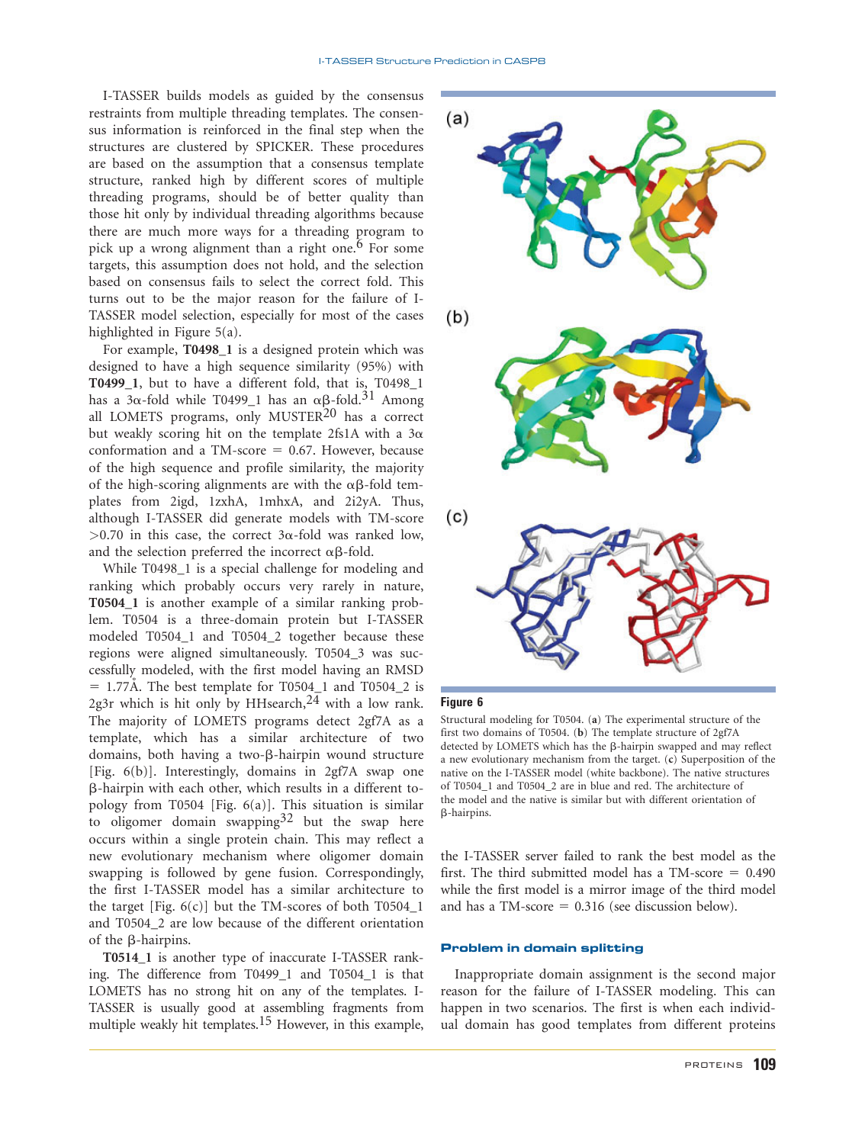I-TASSER builds models as guided by the consensus restraints from multiple threading templates. The consensus information is reinforced in the final step when the structures are clustered by SPICKER. These procedures are based on the assumption that a consensus template structure, ranked high by different scores of multiple threading programs, should be of better quality than those hit only by individual threading algorithms because there are much more ways for a threading program to pick up a wrong alignment than a right one.<sup>6</sup> For some targets, this assumption does not hold, and the selection based on consensus fails to select the correct fold. This turns out to be the major reason for the failure of I-TASSER model selection, especially for most of the cases highlighted in Figure 5(a).

For example, T0498\_1 is a designed protein which was designed to have a high sequence similarity (95%) with T0499\_1, but to have a different fold, that is, T0498\_1 has a 3 $\alpha$ -fold while T0499\_1 has an  $\alpha\beta$ -fold.<sup>31</sup> Among all LOMETS programs, only MUSTER<sup>20</sup> has a correct but weakly scoring hit on the template 2fs1A with a  $3\alpha$ conformation and a TM-score  $= 0.67$ . However, because of the high sequence and profile similarity, the majority of the high-scoring alignments are with the  $\alpha\beta$ -fold templates from 2igd, 1zxhA, 1mhxA, and 2i2yA. Thus, although I-TASSER did generate models with TM-score  $>0.70$  in this case, the correct 3 $\alpha$ -fold was ranked low, and the selection preferred the incorrect  $\alpha\beta$ -fold.

While T0498 1 is a special challenge for modeling and ranking which probably occurs very rarely in nature, T0504\_1 is another example of a similar ranking problem. T0504 is a three-domain protein but I-TASSER modeled T0504\_1 and T0504\_2 together because these regions were aligned simultaneously. T0504\_3 was successfully modeled, with the first model having an RMSD  $= 1.77\text{\AA}$ . The best template for T0504 1 and T0504 2 is 2g3r which is hit only by HHsearch,  $24$  with a low rank. The majority of LOMETS programs detect 2gf7A as a template, which has a similar architecture of two domains, both having a two- $\beta$ -hairpin wound structure [Fig. 6(b)]. Interestingly, domains in 2gf7A swap one b-hairpin with each other, which results in a different topology from T0504 [Fig. 6(a)]. This situation is similar to oligomer domain swapping  $32$  but the swap here occurs within a single protein chain. This may reflect a new evolutionary mechanism where oligomer domain swapping is followed by gene fusion. Correspondingly, the first I-TASSER model has a similar architecture to the target [Fig.  $6(c)$ ] but the TM-scores of both T0504\_1 and T0504\_2 are low because of the different orientation of the  $\beta$ -hairpins.

T0514\_1 is another type of inaccurate I-TASSER ranking. The difference from T0499\_1 and T0504\_1 is that LOMETS has no strong hit on any of the templates. I-TASSER is usually good at assembling fragments from multiple weakly hit templates.<sup>15</sup> However, in this example,



Structural modeling for T0504. (a) The experimental structure of the first two domains of T0504. (b) The template structure of 2gf7A detected by LOMETS which has the  $\beta$ -hairpin swapped and may reflect a new evolutionary mechanism from the target. (c) Superposition of the native on the I-TASSER model (white backbone). The native structures of T0504\_1 and T0504\_2 are in blue and red. The architecture of the model and the native is similar but with different orientation of b-hairpins.

the I-TASSER server failed to rank the best model as the first. The third submitted model has a TM-score  $= 0.490$ while the first model is a mirror image of the third model and has a TM-score  $= 0.316$  (see discussion below).

## Problem in domain splitting

Inappropriate domain assignment is the second major reason for the failure of I-TASSER modeling. This can happen in two scenarios. The first is when each individual domain has good templates from different proteins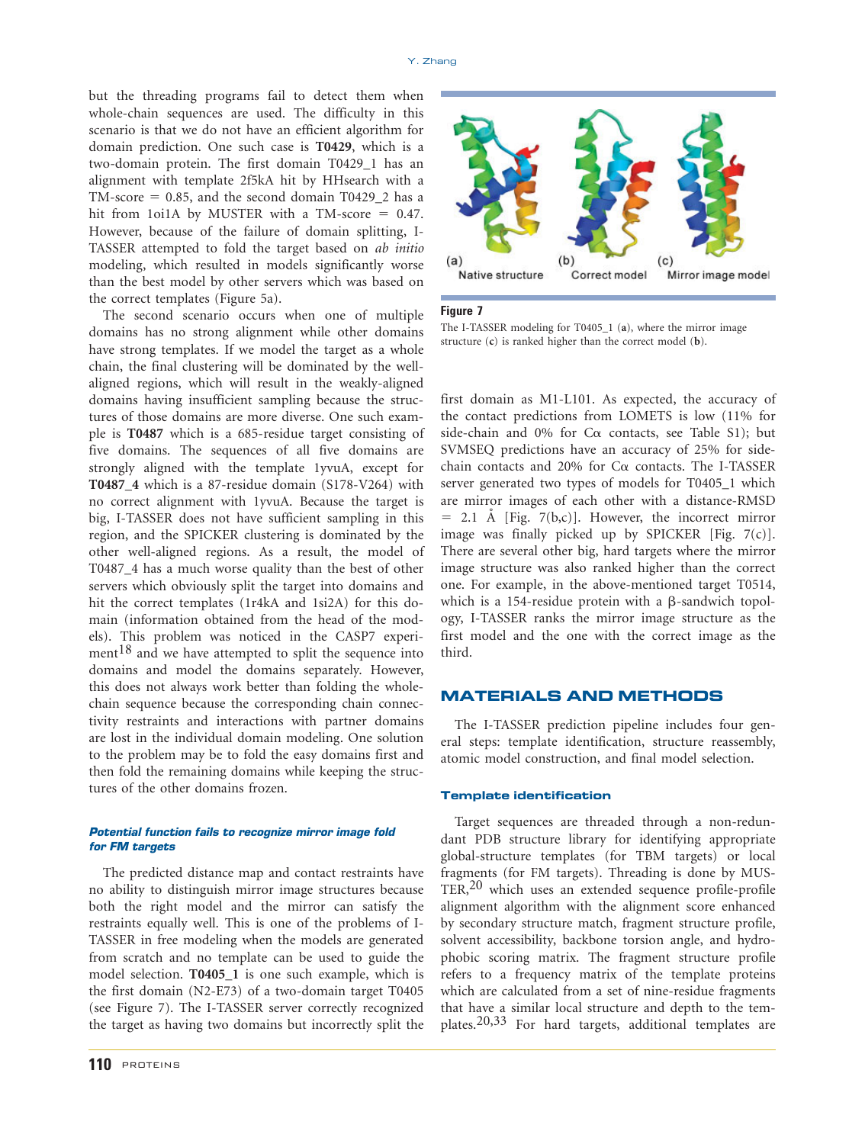but the threading programs fail to detect them when whole-chain sequences are used. The difficulty in this scenario is that we do not have an efficient algorithm for domain prediction. One such case is T0429, which is a two-domain protein. The first domain T0429\_1 has an alignment with template 2f5kA hit by HHsearch with a TM-score  $= 0.85$ , and the second domain T0429\_2 has a hit from 1oi1A by MUSTER with a TM-score  $= 0.47$ . However, because of the failure of domain splitting, I-TASSER attempted to fold the target based on ab initio modeling, which resulted in models significantly worse than the best model by other servers which was based on the correct templates (Figure 5a).

The second scenario occurs when one of multiple domains has no strong alignment while other domains have strong templates. If we model the target as a whole chain, the final clustering will be dominated by the wellaligned regions, which will result in the weakly-aligned domains having insufficient sampling because the structures of those domains are more diverse. One such example is T0487 which is a 685-residue target consisting of five domains. The sequences of all five domains are strongly aligned with the template 1yvuA, except for T0487\_4 which is a 87-residue domain (S178-V264) with no correct alignment with 1yvuA. Because the target is big, I-TASSER does not have sufficient sampling in this region, and the SPICKER clustering is dominated by the other well-aligned regions. As a result, the model of T0487\_4 has a much worse quality than the best of other servers which obviously split the target into domains and hit the correct templates (1r4kA and 1si2A) for this domain (information obtained from the head of the models). This problem was noticed in the CASP7 experiment $18$  and we have attempted to split the sequence into domains and model the domains separately. However, this does not always work better than folding the wholechain sequence because the corresponding chain connectivity restraints and interactions with partner domains are lost in the individual domain modeling. One solution to the problem may be to fold the easy domains first and then fold the remaining domains while keeping the structures of the other domains frozen.

# Potential function fails to recognize mirror image fold for FM targets

The predicted distance map and contact restraints have no ability to distinguish mirror image structures because both the right model and the mirror can satisfy the restraints equally well. This is one of the problems of I-TASSER in free modeling when the models are generated from scratch and no template can be used to guide the model selection. T0405\_1 is one such example, which is the first domain (N2-E73) of a two-domain target T0405 (see Figure 7). The I-TASSER server correctly recognized the target as having two domains but incorrectly split the



The I-TASSER modeling for T0405\_1 (a), where the mirror image structure (c) is ranked higher than the correct model (b).

first domain as M1-L101. As expected, the accuracy of the contact predictions from LOMETS is low (11% for side-chain and 0% for  $C\alpha$  contacts, see Table S1); but SVMSEQ predictions have an accuracy of 25% for sidechain contacts and 20% for  $C\alpha$  contacts. The I-TASSER server generated two types of models for T0405\_1 which are mirror images of each other with a distance-RMSD  $= 2.1$  A [Fig. 7(b,c)]. However, the incorrect mirror image was finally picked up by SPICKER [Fig. 7(c)]. There are several other big, hard targets where the mirror image structure was also ranked higher than the correct one. For example, in the above-mentioned target T0514, which is a 154-residue protein with a  $\beta$ -sandwich topology, I-TASSER ranks the mirror image structure as the first model and the one with the correct image as the third.

# MATERIALS AND METHODS

The I-TASSER prediction pipeline includes four general steps: template identification, structure reassembly, atomic model construction, and final model selection.

### Template identification

Target sequences are threaded through a non-redundant PDB structure library for identifying appropriate global-structure templates (for TBM targets) or local fragments (for FM targets). Threading is done by MUS- $TER<sub>20</sub>$  which uses an extended sequence profile-profile alignment algorithm with the alignment score enhanced by secondary structure match, fragment structure profile, solvent accessibility, backbone torsion angle, and hydrophobic scoring matrix. The fragment structure profile refers to a frequency matrix of the template proteins which are calculated from a set of nine-residue fragments that have a similar local structure and depth to the templates.20,33 For hard targets, additional templates are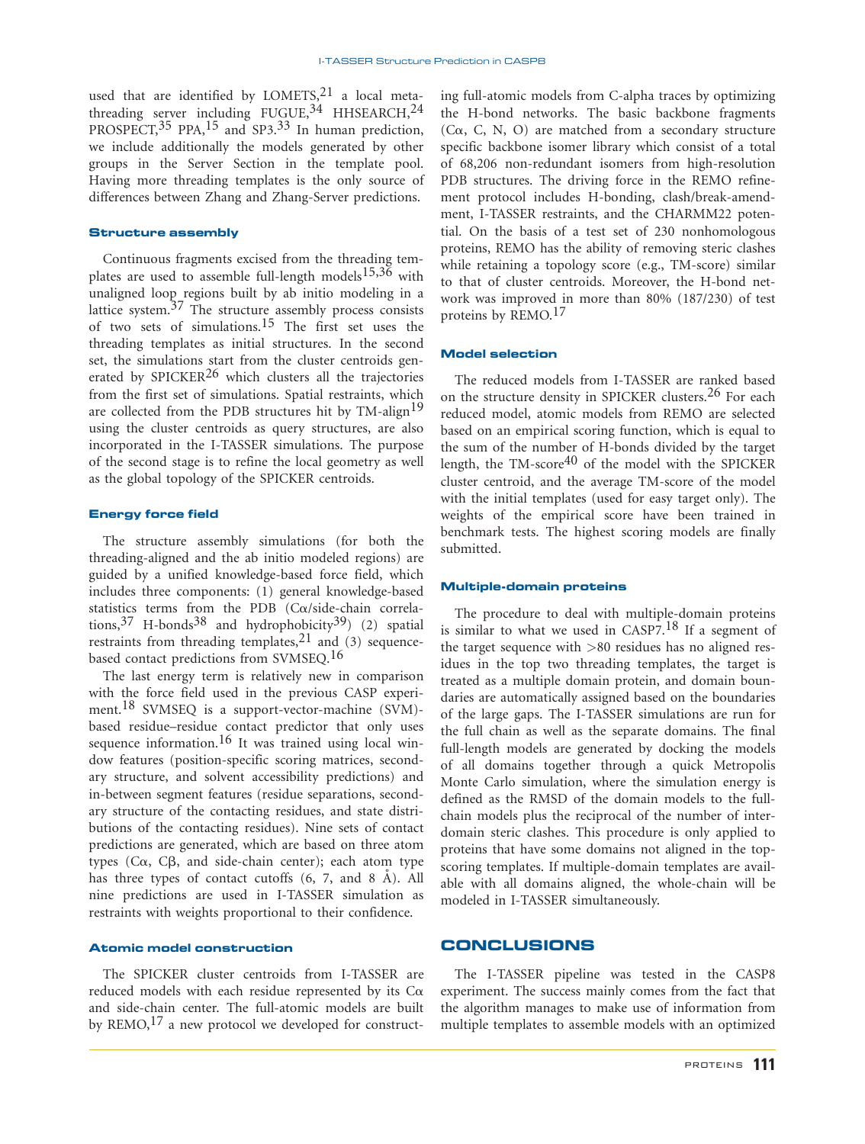used that are identified by LOMETS,  $21$  a local metathreading server including FUGUE,  $34$  HHSEARCH,  $24$ PROSPECT,<sup>35</sup> PPA,<sup>15</sup> and SP3.<sup>33</sup> In human prediction, we include additionally the models generated by other groups in the Server Section in the template pool. Having more threading templates is the only source of differences between Zhang and Zhang-Server predictions.

# Structure assembly

Continuous fragments excised from the threading templates are used to assemble full-length models<sup>15,36</sup> with unaligned loop regions built by ab initio modeling in a lattice system. $37$  The structure assembly process consists of two sets of simulations.15 The first set uses the threading templates as initial structures. In the second set, the simulations start from the cluster centroids generated by SPICKER<sup>26</sup> which clusters all the trajectories from the first set of simulations. Spatial restraints, which are collected from the PDB structures hit by TM-align<sup>19</sup> using the cluster centroids as query structures, are also incorporated in the I-TASSER simulations. The purpose of the second stage is to refine the local geometry as well as the global topology of the SPICKER centroids.

## Energy force field

The structure assembly simulations (for both the threading-aligned and the ab initio modeled regions) are guided by a unified knowledge-based force field, which includes three components: (1) general knowledge-based statistics terms from the PDB (Ca/side-chain correlations,37 H-bonds38 and hydrophobicity39) (2) spatial restraints from threading templates,  $21$  and (3) sequencebased contact predictions from SVMSEQ.16

The last energy term is relatively new in comparison with the force field used in the previous CASP experiment.18 SVMSEQ is a support-vector-machine (SVM) based residue–residue contact predictor that only uses sequence information.<sup>16</sup> It was trained using local window features (position-specific scoring matrices, secondary structure, and solvent accessibility predictions) and in-between segment features (residue separations, secondary structure of the contacting residues, and state distributions of the contacting residues). Nine sets of contact predictions are generated, which are based on three atom types  $(C\alpha, C\beta,$  and side-chain center); each atom type has three types of contact cutoffs  $(6, 7, and 8$   $\AA)$ . All nine predictions are used in I-TASSER simulation as restraints with weights proportional to their confidence.

#### Atomic model construction

The SPICKER cluster centroids from I-TASSER are reduced models with each residue represented by its  $Ca$ and side-chain center. The full-atomic models are built by  $REMO<sub>1</sub><sup>17</sup>$  a new protocol we developed for constructing full-atomic models from C-alpha traces by optimizing the H-bond networks. The basic backbone fragments ( $C\alpha$ , C, N, O) are matched from a secondary structure specific backbone isomer library which consist of a total of 68,206 non-redundant isomers from high-resolution PDB structures. The driving force in the REMO refinement protocol includes H-bonding, clash/break-amendment, I-TASSER restraints, and the CHARMM22 potential. On the basis of a test set of 230 nonhomologous proteins, REMO has the ability of removing steric clashes while retaining a topology score (e.g., TM-score) similar to that of cluster centroids. Moreover, the H-bond network was improved in more than 80% (187/230) of test proteins by REMO.<sup>17</sup>

### Model selection

The reduced models from I-TASSER are ranked based on the structure density in SPICKER clusters.<sup>26</sup> For each reduced model, atomic models from REMO are selected based on an empirical scoring function, which is equal to the sum of the number of H-bonds divided by the target length, the  $TM\text{-}score^{40}$  of the model with the SPICKER cluster centroid, and the average TM-score of the model with the initial templates (used for easy target only). The weights of the empirical score have been trained in benchmark tests. The highest scoring models are finally submitted.

# Multiple-domain proteins

The procedure to deal with multiple-domain proteins is similar to what we used in CASP7.<sup>18</sup> If a segment of the target sequence with >80 residues has no aligned residues in the top two threading templates, the target is treated as a multiple domain protein, and domain boundaries are automatically assigned based on the boundaries of the large gaps. The I-TASSER simulations are run for the full chain as well as the separate domains. The final full-length models are generated by docking the models of all domains together through a quick Metropolis Monte Carlo simulation, where the simulation energy is defined as the RMSD of the domain models to the fullchain models plus the reciprocal of the number of interdomain steric clashes. This procedure is only applied to proteins that have some domains not aligned in the topscoring templates. If multiple-domain templates are available with all domains aligned, the whole-chain will be modeled in I-TASSER simultaneously.

# **CONCLUSIONS**

The I-TASSER pipeline was tested in the CASP8 experiment. The success mainly comes from the fact that the algorithm manages to make use of information from multiple templates to assemble models with an optimized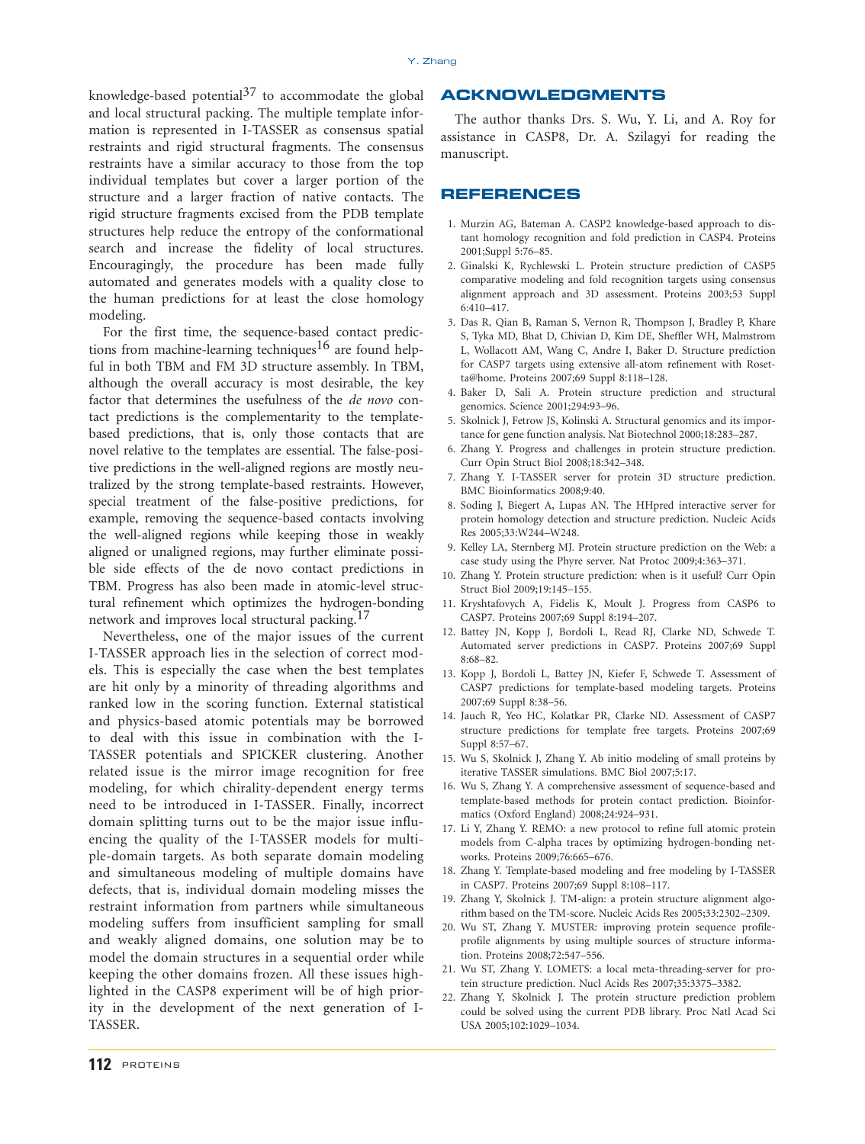knowledge-based potential $37$  to accommodate the global and local structural packing. The multiple template information is represented in I-TASSER as consensus spatial restraints and rigid structural fragments. The consensus restraints have a similar accuracy to those from the top individual templates but cover a larger portion of the structure and a larger fraction of native contacts. The rigid structure fragments excised from the PDB template structures help reduce the entropy of the conformational search and increase the fidelity of local structures. Encouragingly, the procedure has been made fully automated and generates models with a quality close to the human predictions for at least the close homology modeling.

For the first time, the sequence-based contact predictions from machine-learning techniques<sup>16</sup> are found helpful in both TBM and FM 3D structure assembly. In TBM, although the overall accuracy is most desirable, the key factor that determines the usefulness of the de novo contact predictions is the complementarity to the templatebased predictions, that is, only those contacts that are novel relative to the templates are essential. The false-positive predictions in the well-aligned regions are mostly neutralized by the strong template-based restraints. However, special treatment of the false-positive predictions, for example, removing the sequence-based contacts involving the well-aligned regions while keeping those in weakly aligned or unaligned regions, may further eliminate possible side effects of the de novo contact predictions in TBM. Progress has also been made in atomic-level structural refinement which optimizes the hydrogen-bonding network and improves local structural packing.<sup>17</sup>

Nevertheless, one of the major issues of the current I-TASSER approach lies in the selection of correct models. This is especially the case when the best templates are hit only by a minority of threading algorithms and ranked low in the scoring function. External statistical and physics-based atomic potentials may be borrowed to deal with this issue in combination with the I-TASSER potentials and SPICKER clustering. Another related issue is the mirror image recognition for free modeling, for which chirality-dependent energy terms need to be introduced in I-TASSER. Finally, incorrect domain splitting turns out to be the major issue influencing the quality of the I-TASSER models for multiple-domain targets. As both separate domain modeling and simultaneous modeling of multiple domains have defects, that is, individual domain modeling misses the restraint information from partners while simultaneous modeling suffers from insufficient sampling for small and weakly aligned domains, one solution may be to model the domain structures in a sequential order while keeping the other domains frozen. All these issues highlighted in the CASP8 experiment will be of high priority in the development of the next generation of I-TASSER.

# ACKNOWLEDGMENTS

The author thanks Drs. S. Wu, Y. Li, and A. Roy for assistance in CASP8, Dr. A. Szilagyi for reading the manuscript.

# REFERENCES

- 1. Murzin AG, Bateman A. CASP2 knowledge-based approach to distant homology recognition and fold prediction in CASP4. Proteins 2001;Suppl 5:76–85.
- 2. Ginalski K, Rychlewski L. Protein structure prediction of CASP5 comparative modeling and fold recognition targets using consensus alignment approach and 3D assessment. Proteins 2003;53 Suppl 6:410–417.
- 3. Das R, Qian B, Raman S, Vernon R, Thompson J, Bradley P, Khare S, Tyka MD, Bhat D, Chivian D, Kim DE, Sheffler WH, Malmstrom L, Wollacott AM, Wang C, Andre I, Baker D. Structure prediction for CASP7 targets using extensive all-atom refinement with Rosetta@home. Proteins 2007;69 Suppl 8:118–128.
- 4. Baker D, Sali A. Protein structure prediction and structural genomics. Science 2001;294:93–96.
- 5. Skolnick J, Fetrow JS, Kolinski A. Structural genomics and its importance for gene function analysis. Nat Biotechnol 2000;18:283–287.
- 6. Zhang Y. Progress and challenges in protein structure prediction. Curr Opin Struct Biol 2008;18:342–348.
- 7. Zhang Y. I-TASSER server for protein 3D structure prediction. BMC Bioinformatics 2008;9:40.
- 8. Soding J, Biegert A, Lupas AN. The HHpred interactive server for protein homology detection and structure prediction. Nucleic Acids Res 2005;33:W244–W248.
- 9. Kelley LA, Sternberg MJ. Protein structure prediction on the Web: a case study using the Phyre server. Nat Protoc 2009;4:363–371.
- 10. Zhang Y. Protein structure prediction: when is it useful? Curr Opin Struct Biol 2009;19:145–155.
- 11. Kryshtafovych A, Fidelis K, Moult J. Progress from CASP6 to CASP7. Proteins 2007;69 Suppl 8:194–207.
- 12. Battey JN, Kopp J, Bordoli L, Read RJ, Clarke ND, Schwede T. Automated server predictions in CASP7. Proteins 2007;69 Suppl 8:68–82.
- 13. Kopp J, Bordoli L, Battey JN, Kiefer F, Schwede T. Assessment of CASP7 predictions for template-based modeling targets. Proteins 2007;69 Suppl 8:38–56.
- 14. Jauch R, Yeo HC, Kolatkar PR, Clarke ND. Assessment of CASP7 structure predictions for template free targets. Proteins 2007;69 Suppl 8:57–67.
- 15. Wu S, Skolnick J, Zhang Y. Ab initio modeling of small proteins by iterative TASSER simulations. BMC Biol 2007;5:17.
- 16. Wu S, Zhang Y. A comprehensive assessment of sequence-based and template-based methods for protein contact prediction. Bioinformatics (Oxford England) 2008;24:924–931.
- 17. Li Y, Zhang Y. REMO: a new protocol to refine full atomic protein models from C-alpha traces by optimizing hydrogen-bonding networks. Proteins 2009;76:665–676.
- 18. Zhang Y. Template-based modeling and free modeling by I-TASSER in CASP7. Proteins 2007;69 Suppl 8:108–117.
- 19. Zhang Y, Skolnick J. TM-align: a protein structure alignment algorithm based on the TM-score. Nucleic Acids Res 2005;33:2302–2309.
- 20. Wu ST, Zhang Y. MUSTER: improving protein sequence profileprofile alignments by using multiple sources of structure information. Proteins 2008;72:547–556.
- 21. Wu ST, Zhang Y. LOMETS: a local meta-threading-server for protein structure prediction. Nucl Acids Res 2007;35:3375–3382.
- 22. Zhang Y, Skolnick J. The protein structure prediction problem could be solved using the current PDB library. Proc Natl Acad Sci USA 2005;102:1029–1034.